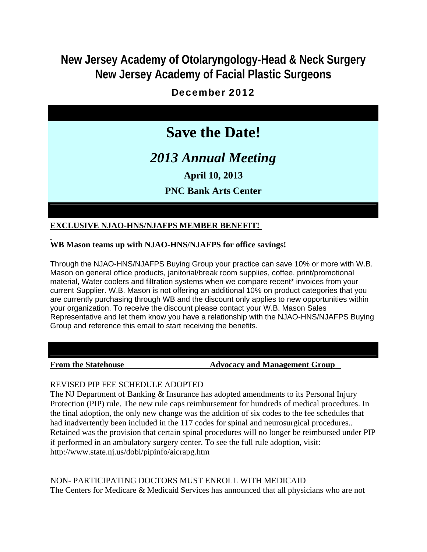## **New Jersey Academy of Otolaryngology-Head & Neck Surgery New Jersey Academy of Facial Plastic Surgeons**

## December 2012

# **Save the Date!**

# *2013 Annual Meeting*

**April 10, 2013**

## **PNC Bank Arts Center**

### **EXCLUSIVE NJAO-HNS/NJAFPS MEMBER BENEFIT!**

#### **WB Mason teams up with NJAO-HNS/NJAFPS for office savings!**

Through the NJAO-HNS/NJAFPS Buying Group your practice can save 10% or more with W.B. Mason on general office products, janitorial/break room supplies, coffee, print/promotional material, Water coolers and filtration systems when we compare recent\* invoices from your current Supplier. W.B. Mason is not offering an additional 10% on product categories that you are currently purchasing through WB and the discount only applies to new opportunities within your organization. To receive the discount please contact your W.B. Mason Sales Representative and let them know you have a relationship with the NJAO-HNS/NJAFPS Buying Group and reference this email to start receiving the benefits.

#### **From the Statehouse The Statehouse Advocacy and Management Group**

#### REVISED PIP FEE SCHEDULE ADOPTED

The NJ Department of Banking & Insurance has adopted amendments to its Personal Injury Protection (PIP) rule. The new rule caps reimbursement for hundreds of medical procedures. In the final adoption, the only new change was the addition of six codes to the fee schedules that had inadvertently been included in the 117 codes for spinal and neurosurgical procedures.. Retained was the provision that certain spinal procedures will no longer be reimbursed under PIP if performed in an ambulatory surgery center. To see the full rule adoption, visit: http://www.state.nj.us/dobi/pipinfo/aicrapg.htm

NON- PARTICIPATING DOCTORS MUST ENROLL WITH MEDICAID The Centers for Medicare & Medicaid Services has announced that all physicians who are not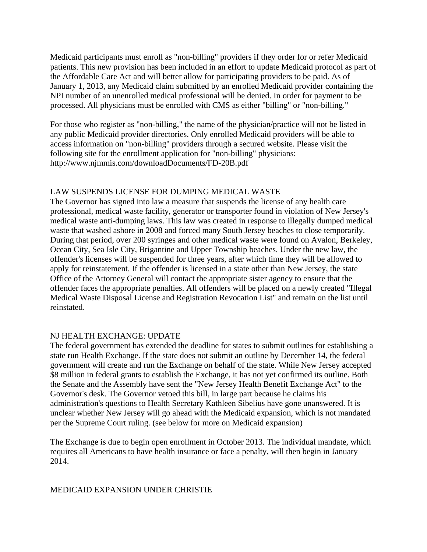Medicaid participants must enroll as "non-billing" providers if they order for or refer Medicaid patients. This new provision has been included in an effort to update Medicaid protocol as part of the Affordable Care Act and will better allow for participating providers to be paid. As of January 1, 2013, any Medicaid claim submitted by an enrolled Medicaid provider containing the NPI number of an unenrolled medical professional will be denied. In order for payment to be processed. All physicians must be enrolled with CMS as either "billing" or "non-billing."

For those who register as "non-billing," the name of the physician/practice will not be listed in any public Medicaid provider directories. Only enrolled Medicaid providers will be able to access information on "non-billing" providers through a secured website. Please visit the following site for the enrollment application for "non-billing" physicians: http://www.njmmis.com/downloadDocuments/FD-20B.pdf

### LAW SUSPENDS LICENSE FOR DUMPING MEDICAL WASTE

The Governor has signed into law a measure that suspends the license of any health care professional, medical waste facility, generator or transporter found in violation of New Jersey's medical waste anti-dumping laws. This law was created in response to illegally dumped medical waste that washed ashore in 2008 and forced many South Jersey beaches to close temporarily. During that period, over 200 syringes and other medical waste were found on Avalon, Berkeley, Ocean City, Sea Isle City, Brigantine and Upper Township beaches. Under the new law, the offender's licenses will be suspended for three years, after which time they will be allowed to apply for reinstatement. If the offender is licensed in a state other than New Jersey, the state Office of the Attorney General will contact the appropriate sister agency to ensure that the offender faces the appropriate penalties. All offenders will be placed on a newly created "Illegal Medical Waste Disposal License and Registration Revocation List" and remain on the list until reinstated.

#### NJ HEALTH EXCHANGE: UPDATE

The federal government has extended the deadline for states to submit outlines for establishing a state run Health Exchange. If the state does not submit an outline by December 14, the federal government will create and run the Exchange on behalf of the state. While New Jersey accepted \$8 million in federal grants to establish the Exchange, it has not yet confirmed its outline. Both the Senate and the Assembly have sent the "New Jersey Health Benefit Exchange Act" to the Governor's desk. The Governor vetoed this bill, in large part because he claims his administration's questions to Health Secretary Kathleen Sibelius have gone unanswered. It is unclear whether New Jersey will go ahead with the Medicaid expansion, which is not mandated per the Supreme Court ruling. (see below for more on Medicaid expansion)

The Exchange is due to begin open enrollment in October 2013. The individual mandate, which requires all Americans to have health insurance or face a penalty, will then begin in January 2014.

#### MEDICAID EXPANSION UNDER CHRISTIE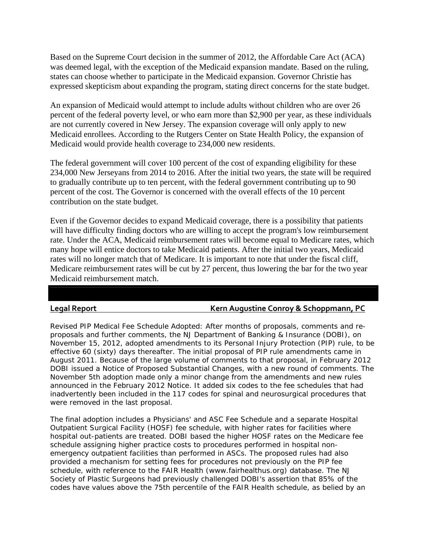Based on the Supreme Court decision in the summer of 2012, the Affordable Care Act (ACA) was deemed legal, with the exception of the Medicaid expansion mandate. Based on the ruling, states can choose whether to participate in the Medicaid expansion. Governor Christie has expressed skepticism about expanding the program, stating direct concerns for the state budget.

An expansion of Medicaid would attempt to include adults without children who are over 26 percent of the federal poverty level, or who earn more than \$2,900 per year, as these individuals are not currently covered in New Jersey. The expansion coverage will only apply to new Medicaid enrollees. According to the Rutgers Center on State Health Policy, the expansion of Medicaid would provide health coverage to 234,000 new residents.

The federal government will cover 100 percent of the cost of expanding eligibility for these 234,000 New Jerseyans from 2014 to 2016. After the initial two years, the state will be required to gradually contribute up to ten percent, with the federal government contributing up to 90 percent of the cost. The Governor is concerned with the overall effects of the 10 percent contribution on the state budget.

Even if the Governor decides to expand Medicaid coverage, there is a possibility that patients will have difficulty finding doctors who are willing to accept the program's low reimbursement rate. Under the ACA, Medicaid reimbursement rates will become equal to Medicare rates, which many hope will entice doctors to take Medicaid patients. After the initial two years, Medicaid rates will no longer match that of Medicare. It is important to note that under the fiscal cliff, Medicare reimbursement rates will be cut by 27 percent, thus lowering the bar for the two year Medicaid reimbursement match.

#### **Legal Report Kern Augustine Conroy & Schoppmann, PC**

Revised PIP Medical Fee Schedule Adopted: After months of proposals, comments and reproposals and further comments, the NJ Department of Banking & Insurance (DOBI), on November 15, 2012, adopted amendments to its Personal Injury Protection (PIP) rule, to be effective 60 (sixty) days thereafter. The initial proposal of PIP rule amendments came in August 2011. Because of the large volume of comments to that proposal, in February 2012 DOBI issued a Notice of Proposed Substantial Changes, with a new round of comments. The November 5th adoption made only a minor change from the amendments and new rules announced in the February 2012 Notice. It added six codes to the fee schedules that had inadvertently been included in the 117 codes for spinal and neurosurgical procedures that were removed in the last proposal.

The final adoption includes a Physicians' and ASC Fee Schedule and a separate Hospital Outpatient Surgical Facility (HOSF) fee schedule, with higher rates for facilities where hospital out-patients are treated. DOBI based the higher HOSF rates on the Medicare fee schedule assigning higher practice costs to procedures performed in hospital nonemergency outpatient facilities than performed in ASCs. The proposed rules had also provided a mechanism for setting fees for procedures not previously on the PIP fee schedule, with reference to the FAIR Health (www.fairhealthus.org) database. The NJ Society of Plastic Surgeons had previously challenged DOBI's assertion that 85% of the codes have values above the 75th percentile of the FAIR Health schedule, as belied by an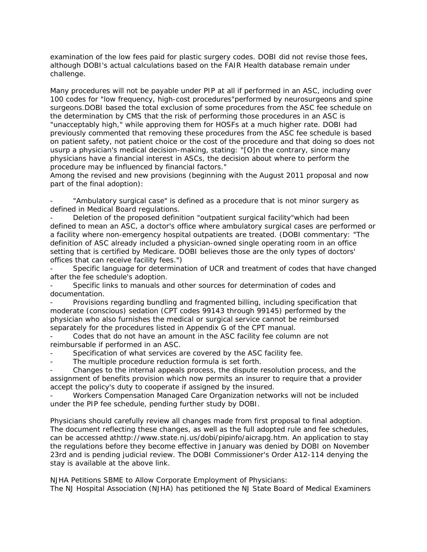examination of the low fees paid for plastic surgery codes. DOBI did not revise those fees, although DOBI's actual calculations based on the FAIR Health database remain under challenge.

Many procedures will not be payable under PIP at all if performed in an ASC, including over 100 codes for "low frequency, high-cost procedures"performed by neurosurgeons and spine surgeons.DOBI based the total exclusion of some procedures from the ASC fee schedule on the determination by CMS that the risk of performing those procedures in an ASC is "unacceptably high," while approving them for HOSFs at a much higher rate. DOBI had previously commented that removing these procedures from the ASC fee schedule is based on patient safety, not patient choice or the cost of the procedure and that doing so does not usurp a physician's medical decision-making, stating: "[O]n the contrary, since many physicians have a financial interest in ASCs, the decision about where to perform the procedure may be influenced by financial factors."

Among the revised and new provisions (beginning with the August 2011 proposal and now part of the final adoption):

"Ambulatory surgical case" is defined as a procedure that is not minor surgery as defined in Medical Board regulations.

Deletion of the proposed definition "outpatient surgical facility"which had been defined to mean an ASC, a doctor's office where ambulatory surgical cases are performed or a facility where non-emergency hospital outpatients are treated. (DOBI commentary: "The definition of ASC already included a physician-owned single operating room in an office setting that is certified by Medicare. DOBI believes those are the only types of doctors' offices that can receive facility fees.")

Specific language for determination of UCR and treatment of codes that have changed after the fee schedule's adoption.

Specific links to manuals and other sources for determination of codes and documentation.

- Provisions regarding bundling and fragmented billing, including specification that moderate (conscious) sedation (CPT codes 99143 through 99145) performed by the physician who also furnishes the medical or surgical service cannot be reimbursed separately for the procedures listed in Appendix G of the CPT manual.

Codes that do not have an amount in the ASC facility fee column are not reimbursable if performed in an ASC.

Specification of what services are covered by the ASC facility fee.

The multiple procedure reduction formula is set forth.

- Changes to the internal appeals process, the dispute resolution process, and the assignment of benefits provision which now permits an insurer to require that a provider accept the policy's duty to cooperate if assigned by the insured.

- Workers Compensation Managed Care Organization networks will not be included under the PIP fee schedule, pending further study by DOBI.

Physicians should carefully review all changes made from first proposal to final adoption. The document reflecting these changes, as well as the full adopted rule and fee schedules, can be accessed athttp://www.state.nj.us/dobi/pipinfo/aicrapg.htm. An application to stay the regulations before they become effective in January was denied by DOBI on November 23rd and is pending judicial review. The DOBI Commissioner's Order A12-114 denying the stay is available at the above link.

NJHA Petitions SBME to Allow Corporate Employment of Physicians: The NJ Hospital Association (NJHA) has petitioned the NJ State Board of Medical Examiners